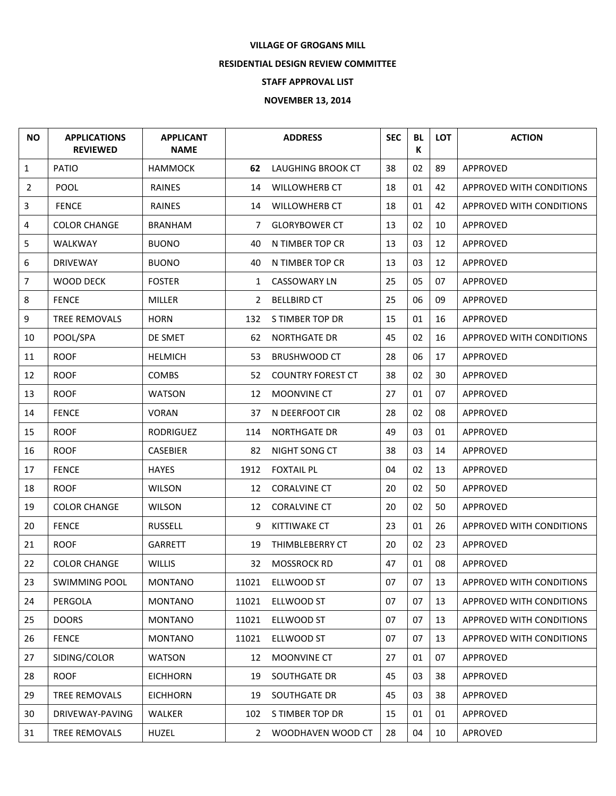## **VILLAGE OF GROGANS MILL**

## **RESIDENTIAL DESIGN REVIEW COMMITTEE**

## **STAFF APPROVAL LIST**

## **NOVEMBER 13, 2014**

| <b>NO</b>      | <b>APPLICATIONS</b><br><b>REVIEWED</b> | <b>APPLICANT</b><br><b>NAME</b> |              | <b>ADDRESS</b>           | <b>SEC</b> | <b>BL</b><br>К | <b>LOT</b> | <b>ACTION</b>            |
|----------------|----------------------------------------|---------------------------------|--------------|--------------------------|------------|----------------|------------|--------------------------|
| $\mathbf{1}$   | PATIO                                  | <b>HAMMOCK</b>                  | 62           | LAUGHING BROOK CT        | 38         | 02             | 89         | APPROVED                 |
| $\overline{2}$ | POOL                                   | RAINES                          | 14           | <b>WILLOWHERB CT</b>     | 18         | 01             | 42         | APPROVED WITH CONDITIONS |
| 3              | <b>FENCE</b>                           | <b>RAINES</b>                   | 14           | <b>WILLOWHERB CT</b>     | 18         | 01             | 42         | APPROVED WITH CONDITIONS |
| 4              | <b>COLOR CHANGE</b>                    | <b>BRANHAM</b>                  | 7            | <b>GLORYBOWER CT</b>     | 13         | 02             | 10         | APPROVED                 |
| 5              | <b>WALKWAY</b>                         | <b>BUONO</b>                    | 40           | N TIMBER TOP CR          | 13         | 03             | 12         | APPROVED                 |
| 6              | <b>DRIVEWAY</b>                        | <b>BUONO</b>                    | 40           | N TIMBER TOP CR          | 13         | 03             | 12         | APPROVED                 |
| 7              | <b>WOOD DECK</b>                       | <b>FOSTER</b>                   | $\mathbf{1}$ | <b>CASSOWARY LN</b>      | 25         | 05             | 07         | APPROVED                 |
| 8              | <b>FENCE</b>                           | <b>MILLER</b>                   | $\mathbf{2}$ | <b>BELLBIRD CT</b>       | 25         | 06             | 09         | APPROVED                 |
| 9              | TREE REMOVALS                          | <b>HORN</b>                     | 132          | S TIMBER TOP DR          | 15         | 01             | 16         | APPROVED                 |
| 10             | POOL/SPA                               | DE SMET                         | 62           | <b>NORTHGATE DR</b>      | 45         | 02             | 16         | APPROVED WITH CONDITIONS |
| 11             | <b>ROOF</b>                            | <b>HELMICH</b>                  | 53           | <b>BRUSHWOOD CT</b>      | 28         | 06             | 17         | APPROVED                 |
| 12             | <b>ROOF</b>                            | <b>COMBS</b>                    | 52           | <b>COUNTRY FOREST CT</b> | 38         | 02             | 30         | APPROVED                 |
| 13             | <b>ROOF</b>                            | <b>WATSON</b>                   | 12           | MOONVINE CT              | 27         | 01             | 07         | APPROVED                 |
| 14             | <b>FENCE</b>                           | <b>VORAN</b>                    | 37           | N DEERFOOT CIR           | 28         | 02             | 08         | APPROVED                 |
| 15             | <b>ROOF</b>                            | <b>RODRIGUEZ</b>                | 114          | <b>NORTHGATE DR</b>      | 49         | 03             | 01         | APPROVED                 |
| 16             | <b>ROOF</b>                            | <b>CASEBIER</b>                 | 82           | NIGHT SONG CT            | 38         | 03             | 14         | APPROVED                 |
| 17             | <b>FENCE</b>                           | <b>HAYES</b>                    | 1912         | <b>FOXTAIL PL</b>        | 04         | 02             | 13         | APPROVED                 |
| 18             | <b>ROOF</b>                            | <b>WILSON</b>                   | 12           | <b>CORALVINE CT</b>      | 20         | 02             | 50         | APPROVED                 |
| 19             | <b>COLOR CHANGE</b>                    | <b>WILSON</b>                   | 12           | <b>CORALVINE CT</b>      | 20         | 02             | 50         | APPROVED                 |
| 20             | <b>FENCE</b>                           | <b>RUSSELL</b>                  | 9            | KITTIWAKE CT             | 23         | 01             | 26         | APPROVED WITH CONDITIONS |
| 21             | <b>ROOF</b>                            | <b>GARRETT</b>                  | 19           | THIMBLEBERRY CT          | 20         | 02             | 23         | APPROVED                 |
| 22             | <b>COLOR CHANGE</b>                    | <b>WILLIS</b>                   | 32           | <b>MOSSROCK RD</b>       | 47         | 01             | 08         | APPROVED                 |
| 23             | <b>SWIMMING POOL</b>                   | <b>MONTANO</b>                  | 11021        | ELLWOOD ST               | 07         | 07             | 13         | APPROVED WITH CONDITIONS |
| 24             | PERGOLA                                | <b>MONTANO</b>                  | 11021        | ELLWOOD ST               | 07         | 07             | 13         | APPROVED WITH CONDITIONS |
| 25             | <b>DOORS</b>                           | <b>MONTANO</b>                  | 11021        | ELLWOOD ST               | 07         | 07             | 13         | APPROVED WITH CONDITIONS |
| 26             | <b>FENCE</b>                           | <b>MONTANO</b>                  | 11021        | ELLWOOD ST               | 07         | 07             | 13         | APPROVED WITH CONDITIONS |
| 27             | SIDING/COLOR                           | <b>WATSON</b>                   | 12           | MOONVINE CT              | 27         | 01             | 07         | APPROVED                 |
| 28             | <b>ROOF</b>                            | <b>EICHHORN</b>                 | 19           | SOUTHGATE DR             | 45         | 03             | 38         | APPROVED                 |
| 29             | TREE REMOVALS                          | <b>EICHHORN</b>                 | 19           | SOUTHGATE DR             | 45         | 03             | 38         | APPROVED                 |
| 30             | DRIVEWAY-PAVING                        | <b>WALKER</b>                   | 102          | S TIMBER TOP DR          | 15         | 01             | 01         | APPROVED                 |
| 31             | TREE REMOVALS                          | <b>HUZEL</b>                    | $\mathbf{2}$ | WOODHAVEN WOOD CT        | 28         | 04             | 10         | APROVED                  |